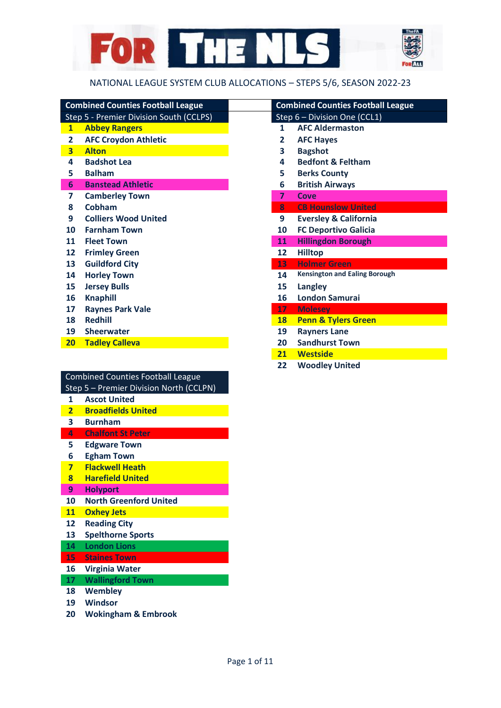

## NATIONAL LEAGUE SYSTEM CLUB ALLOCATIONS – STEPS 5/6, SEASON 2022-23

| <b>Combined Counties Football League</b> |                         |                                         | <b>Combined Counties Football League</b> |                                      |  |  |
|------------------------------------------|-------------------------|-----------------------------------------|------------------------------------------|--------------------------------------|--|--|
|                                          |                         | Step 5 - Premier Division South (CCLPS) |                                          | Step 6 - Division One (CCL1)         |  |  |
|                                          | $\mathbf{1}$            | <b>Abbey Rangers</b>                    | 1                                        | <b>AFC Aldermaston</b>               |  |  |
|                                          | 2                       | <b>AFC Croydon Athletic</b>             | 2                                        | <b>AFC Hayes</b>                     |  |  |
|                                          | $\overline{\mathbf{3}}$ | <b>Alton</b>                            | 3                                        | <b>Bagshot</b>                       |  |  |
|                                          | 4                       | <b>Badshot Lea</b>                      | 4                                        | <b>Bedfont &amp; Feltham</b>         |  |  |
|                                          | 5                       | <b>Balham</b>                           | 5.                                       | <b>Berks County</b>                  |  |  |
|                                          | 6                       | <b>Banstead Athletic</b>                | 6                                        | <b>British Airways</b>               |  |  |
|                                          | 7                       | <b>Camberley Town</b>                   | $\overline{7}$                           | Cove                                 |  |  |
|                                          | 8                       | Cobham                                  | 8                                        | <b>CB Hounslow United</b>            |  |  |
|                                          | 9                       | <b>Colliers Wood United</b>             | 9                                        | <b>Eversley &amp; California</b>     |  |  |
|                                          | 10                      | <b>Farnham Town</b>                     | 10                                       | <b>FC Deportivo Galicia</b>          |  |  |
|                                          | 11                      | <b>Fleet Town</b>                       | 11                                       | <b>Hillingdon Borough</b>            |  |  |
|                                          | 12                      | <b>Frimley Green</b>                    | 12                                       | <b>Hilltop</b>                       |  |  |
|                                          | 13                      | <b>Guildford City</b>                   | 13                                       | <b>Holmer Green</b>                  |  |  |
|                                          | 14                      | <b>Horley Town</b>                      | 14                                       | <b>Kensington and Ealing Borough</b> |  |  |
|                                          | 15                      | <b>Jersey Bulls</b>                     | 15                                       | Langley                              |  |  |
|                                          | 16                      | <b>Knaphill</b>                         | 16                                       | <b>London Samurai</b>                |  |  |
|                                          | 17                      | <b>Raynes Park Vale</b>                 | 17                                       | <b>Molesey</b>                       |  |  |
|                                          | 18                      | <b>Redhill</b>                          | <b>18</b>                                | <b>Penn &amp; Tylers Green</b>       |  |  |
|                                          | 19                      | <b>Sheerwater</b>                       | 19                                       | <b>Rayners Lane</b>                  |  |  |
|                                          | 20 <sub>2</sub>         | <b>Tadley Calleva</b>                   | 20                                       | <b>Sandhurst Town</b>                |  |  |
|                                          |                         |                                         |                                          |                                      |  |  |

| Combined Counties Football League       |
|-----------------------------------------|
| Step 5 - Premier Division North (CCLPN) |
| 1 Accot Unitod                          |

- **Ascot United Broadfields United**
- **Burnham**
- **Chalfont St Peter**
- **Edgware Town**
- **Egham Town**
- **Flackwell Heath**
- **Harefield United**
- **Holyport**
- **North Greenford United**
- **Oxhey Jets**
- **Reading City**
- **Spelthorne Sports**
- **London Lions**
- **Staines Town**
- **Virginia Water**
- **Wallingford Town**
- **Wembley**
- **Windsor**
- **Wokingham & Embrook**

|                         | <b>Combined Counties Football League</b> |  |  |  |
|-------------------------|------------------------------------------|--|--|--|
|                         | Step 6 - Division One (CCL1)             |  |  |  |
| 1                       | <b>AFC Aldermaston</b>                   |  |  |  |
| $\mathbf{2}$            | <b>AFC Hayes</b>                         |  |  |  |
| $\overline{\mathbf{3}}$ | <b>Bagshot</b>                           |  |  |  |
| 4                       | <b>Bedfont &amp; Feltham</b>             |  |  |  |
| 5                       | <b>Berks County</b>                      |  |  |  |
| 6                       | <b>British Airways</b>                   |  |  |  |
| $\overline{\mathbf{z}}$ | Cove                                     |  |  |  |
| 8                       | <b>CB Hounslow United</b>                |  |  |  |
| 9                       | <b>Eversley &amp; California</b>         |  |  |  |
| 10                      | <b>FC Deportivo Galicia</b>              |  |  |  |
| 11                      | <b>Hillingdon Borough</b>                |  |  |  |
| 12                      | <b>Hilltop</b>                           |  |  |  |
| 13                      | <b>Holmer Green</b>                      |  |  |  |
| 14                      | <b>Kensington and Ealing Borough</b>     |  |  |  |
| 15                      | Langley                                  |  |  |  |
| 16                      | <b>London Samurai</b>                    |  |  |  |
| 17                      | <b>Molesey</b>                           |  |  |  |
| 18                      | <b>Penn &amp; Tylers Green</b>           |  |  |  |
| 19                      | <b>Rayners Lane</b>                      |  |  |  |
| 20                      | <b>Sandhurst Town</b>                    |  |  |  |
| 21                      | <b>Westside</b>                          |  |  |  |
| 22                      | <b>Woodley United</b>                    |  |  |  |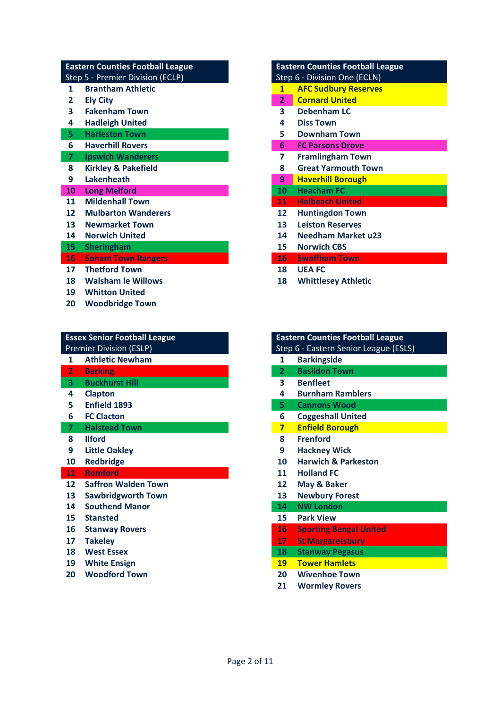| <b>Eastern Counties Football League</b> |                |                                  | <b>Eastern Counties Football League</b> |                              |  |  |
|-----------------------------------------|----------------|----------------------------------|-----------------------------------------|------------------------------|--|--|
|                                         |                | Step 5 - Premier Division (ECLP) |                                         | Step 6 - Division One (ECLN) |  |  |
|                                         | 1              | <b>Brantham Athletic</b>         | $\mathbf{1}$                            | <b>AFC Sudbury Reserves</b>  |  |  |
|                                         | 2              | <b>Ely City</b>                  | 2 <sup>1</sup>                          | <b>Cornard United</b>        |  |  |
|                                         | 3              | <b>Fakenham Town</b>             | 3                                       | Debenham LC                  |  |  |
|                                         | 4              | <b>Hadleigh United</b>           | 4                                       | <b>Diss Town</b>             |  |  |
|                                         | 5              | <b>Harleston Town</b>            | 5.                                      | <b>Downham Town</b>          |  |  |
|                                         | 6              | <b>Haverhill Rovers</b>          | 6                                       | <b>FC Parsons Drove</b>      |  |  |
|                                         | $\overline{7}$ | <b>Ipswich Wanderers</b>         | 7                                       | <b>Framlingham Town</b>      |  |  |
|                                         | 8              | <b>Kirkley &amp; Pakefield</b>   | 8                                       | <b>Great Yarmouth Town</b>   |  |  |
|                                         | 9              | Lakenheath                       | 9                                       | <b>Haverhill Borough</b>     |  |  |
|                                         | 10             | <b>Long Melford</b>              | 10                                      | <b>Heacham FC</b>            |  |  |
|                                         | 11             | <b>Mildenhall Town</b>           | 11                                      | <b>Holbeach United</b>       |  |  |
|                                         | 12             | <b>Mulbarton Wanderers</b>       | 12                                      | <b>Huntingdon Town</b>       |  |  |
|                                         | 13             | <b>Newmarket Town</b>            | 13                                      | <b>Leiston Reserves</b>      |  |  |
|                                         | 14             | <b>Norwich United</b>            | 14                                      | <b>Needham Market u23</b>    |  |  |
|                                         | 15             | <b>Sheringham</b>                | 15                                      | <b>Norwich CBS</b>           |  |  |
|                                         | <b>16</b>      | <b>Soham Town Rangers</b>        | $16-$                                   | <b>Swaffham Town</b>         |  |  |
|                                         | 17             | <b>Thetford Town</b>             | 18                                      | <b>UEA FC</b>                |  |  |
|                                         | 18             | <b>Walsham le Willows</b>        | 18                                      | <b>Whittlesey Athletic</b>   |  |  |
|                                         | 19             | <b>Whitton United</b>            |                                         |                              |  |  |
|                                         |                |                                  |                                         |                              |  |  |

**Woodbridge Town**

|                                | <b>Essex Senior Football League</b> | <b>Eastern Counties Football League</b> |                                       |  |  |
|--------------------------------|-------------------------------------|-----------------------------------------|---------------------------------------|--|--|
| <b>Premier Division (ESLP)</b> |                                     |                                         | Step 6 - Eastern Senior League (ESLS) |  |  |
| 1                              | <b>Athletic Newham</b>              | 1                                       | <b>Barkingside</b>                    |  |  |
| $\overline{2}$                 | <b>Barking</b>                      | $\mathbf{2}$                            | <b>Basildon Town</b>                  |  |  |
| 3                              | <b>Buckhurst Hill</b>               | 3                                       | <b>Benfleet</b>                       |  |  |
| 4                              | <b>Clapton</b>                      | 4                                       | <b>Burnham Ramblers</b>               |  |  |
| 5                              | Enfield 1893                        | 5.                                      | <b>Cannons Wood</b>                   |  |  |
| 6                              | <b>FC Clacton</b>                   | 6                                       | <b>Coggeshall United</b>              |  |  |
| $\overline{7}$                 | <b>Halstead Town</b>                | $\overline{\mathbf{z}}$                 | <b>Enfield Borough</b>                |  |  |
| 8                              | <b>Ilford</b>                       | 8                                       | <b>Frenford</b>                       |  |  |
| 9                              | <b>Little Oakley</b>                | 9                                       | <b>Hackney Wick</b>                   |  |  |
| 10                             | <b>Redbridge</b>                    | 10                                      | <b>Harwich &amp; Parkeston</b>        |  |  |
| <b>11</b>                      | <b>Romford</b>                      | 11                                      | <b>Holland FC</b>                     |  |  |
| $12 \overline{ }$              | <b>Saffron Walden Town</b>          | 12                                      | May & Baker                           |  |  |
| 13                             | <b>Sawbridgworth Town</b>           | 13                                      | <b>Newbury Forest</b>                 |  |  |
| 14                             | <b>Southend Manor</b>               | 14                                      | <b>NW London</b>                      |  |  |
| 15                             | <b>Stansted</b>                     | 15                                      | <b>Park View</b>                      |  |  |
| 16                             | <b>Stanway Rovers</b>               | 16                                      | <b>Sporting Bengal United</b>         |  |  |
| 17                             | <b>Takeley</b>                      | 17                                      | <b>St Margaretsbury</b>               |  |  |
| 18                             | <b>West Essex</b>                   | 18                                      | <b>Stanway Pegasus</b>                |  |  |

- 
- 
- 

|                | <b>Eastern Counties Football League</b> |
|----------------|-----------------------------------------|
|                | Step 6 - Division One (ECLN)            |
| 1              | <b>AFC Sudbury Reserves</b>             |
| $\overline{2}$ | <b>Cornard United</b>                   |
| 3              | Debenham LC                             |
| 4              | <b>Diss Town</b>                        |
| 5              | <b>Downham Town</b>                     |
| 6              | <b>FC Parsons Drove</b>                 |
| 7              | <b>Framlingham Town</b>                 |
| 8              | <b>Great Yarmouth Town</b>              |
| 9              | <b>Haverhill Borough</b>                |
| 10             | <b>Heacham FC</b>                       |
| 11             | Holbeach United                         |
| 12             | <b>Huntingdon Town</b>                  |
| 13             | <b>Leiston Reserves</b>                 |
| 14             | <b>Needham Market u23</b>               |
| 15             | <b>Norwich CBS</b>                      |
| 16             | <b>Swaffham Town</b>                    |
| 18             | <b>UEA FC</b>                           |
| 18             | <b>Whittlesey Athletic</b>              |

|                         | <b>Eastern Counties Football League</b><br>Step 6 - Eastern Senior League (ESLS) |  |  |  |
|-------------------------|----------------------------------------------------------------------------------|--|--|--|
| 1                       | <b>Barkingside</b>                                                               |  |  |  |
| 2                       | <b>Basildon Town</b>                                                             |  |  |  |
| 3                       | <b>Benfleet</b>                                                                  |  |  |  |
| 4                       | <b>Burnham Ramblers</b>                                                          |  |  |  |
| 5                       | <b>Cannons Wood</b>                                                              |  |  |  |
| 6                       | <b>Coggeshall United</b>                                                         |  |  |  |
| $\overline{\mathbf{z}}$ | <b>Enfield Borough</b>                                                           |  |  |  |
| 8                       | <b>Frenford</b>                                                                  |  |  |  |
| 9                       | <b>Hackney Wick</b>                                                              |  |  |  |
| 10                      | <b>Harwich &amp; Parkeston</b>                                                   |  |  |  |
| 11                      | <b>Holland FC</b>                                                                |  |  |  |
| 12                      | May & Baker                                                                      |  |  |  |
| 13                      | <b>Newbury Forest</b>                                                            |  |  |  |
| 14                      | <b>NW London</b>                                                                 |  |  |  |
| 15                      | <b>Park View</b>                                                                 |  |  |  |
| 16                      | <b>Sporting Bengal United</b>                                                    |  |  |  |

- 
- 
- **White Ensign 19 Tower Hamlets**
- **Woodford Town 20 Wivenhoe Town**
	- **Wormley Rovers**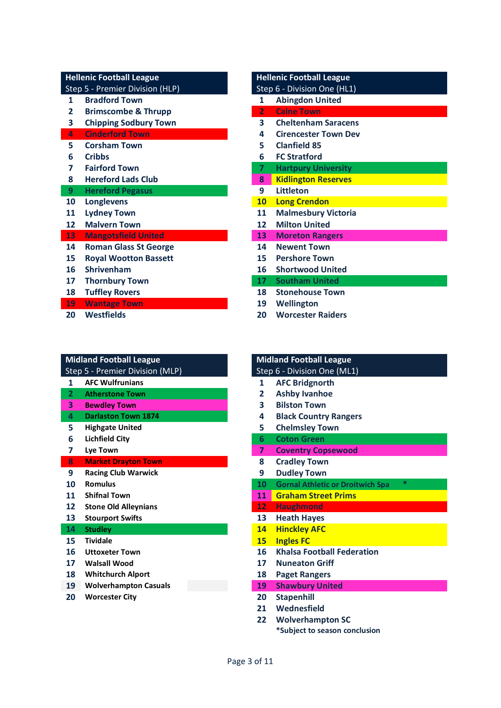Step 5 - Premier Division (HLP) Step 6 - Division One (HL1)

- **Bradford Town 1 Abingdon United**
- **Brimscombe & Thrupp 2 Calne Town**
- **Chipping Sodbury Town 3 Cheltenham Saracens**
- 
- 
- 
- 
- 
- 
- 
- 
- 

- 
- 
- 
- 
- 
- 
- 

# **Midland Football League Midland Football League**

- **AFC Wulfrunians**
- **Atherstone Town**
- **Bewdley Town**
- **Darlaston Town 1874**
- **Highgate United**
- **Lichfield City**
- 

### **Market Drayton Town**

- **Racing Club Warwick**
- 
- **Shifnal Town**
- Stone Old Alleynians
- Stourport Swifts

# **Studley**

- **Tividale 15 Ingles FC**
- Uttoxeter Town
- **Walsall Wood**
- **Whitchurch Alport**
- 

### **Hellenic Football League Manual League Hellenic Football League**

- 
- 
- **Cinderford Town 4 Cirencester Town Dev**
- **Corsham Town 5 Clanfield 85**
- **Cribbs 6 FC Stratford**
- **Fairford Town 7 Hartpury University**
- **Hereford Lads Club 8 Kidlington Reserves**
- **Hereford Pegasus 9 Littleton**
- **Longlevens 10 Long Crendon**
- **Lydney Town 11 Malmesbury Victoria**
- **Malvern Town 12 Milton United**
- **Mangotsfield United 13 Moreton Rangers**
- **Roman Glass St George 14 Newent Town**
- **Royal Wootton Bassett 15 Pershore Town**
- **Shrivenham 16 Shortwood United**
- **Thornbury Town 17 Southam United**
- **Tuffley Rovers 18 Stonehouse Town**
- **Wantage Town 19 Wellington**
- **Westfields 20 Worcester Raiders**

|              | <b>Midland Football League</b>  |                | <b>Midland Football League</b>                 |
|--------------|---------------------------------|----------------|------------------------------------------------|
|              | Step 5 - Premier Division (MLP) |                | Step 6 - Division One (ML1)                    |
| $\mathbf{1}$ | <b>AFC Wulfrunians</b>          | 1              | <b>AFC Bridgnorth</b>                          |
| $\mathbf{2}$ | <b>Atherstone Town</b>          | 2              | <b>Ashby Ivanhoe</b>                           |
| 3            | <b>Bewdley Town</b>             | 3              | <b>Bilston Town</b>                            |
| 4            | <b>Darlaston Town 1874</b>      | 4              | <b>Black Country Rangers</b>                   |
| 5            | <b>Highgate United</b>          | 5              | <b>Chelmsley Town</b>                          |
| 6            | Lichfield City                  | 6              | <b>Coton Green</b>                             |
| 7            | Lye Town                        | $\overline{ }$ | <b>Coventry Copsewood</b>                      |
| 8            | <b>Market Drayton Town</b>      | 8              | <b>Cradley Town</b>                            |
| 9            | <b>Racing Club Warwick</b>      | 9              | <b>Dudley Town</b>                             |
| 10           | <b>Romulus</b>                  | 10             | $*$<br><b>Gornal Athletic or Droitwich Spa</b> |
| 11           | <b>Shifnal Town</b>             | 11             | <b>Graham Street Prims</b>                     |
| 12           | <b>Stone Old Alleynians</b>     | 12             | <b>Haughmond</b>                               |
| 13           | <b>Stourport Swifts</b>         | 13             | <b>Heath Hayes</b>                             |
| 14           | <b>Studley</b>                  | 14             | <b>Hinckley AFC</b>                            |
| 15           | <b>Tividale</b>                 | <b>15</b>      | <b>Ingles FC</b>                               |
| 16           | <b>Uttoxeter Town</b>           | 16             | <b>Khalsa Football Federation</b>              |
| 17           | <b>Walsall Wood</b>             | 17             | <b>Nuneaton Griff</b>                          |
| 18           | <b>Whitchurch Alport</b>        | 18             | <b>Paget Rangers</b>                           |
| 19           | <b>Wolverhampton Casuals</b>    | 19             | <b>Shawbury United</b>                         |

- **Worcester City 20 Stapenhill**
	- **Wednesfield**
	- **Wolverhampton SC**
		- **\*Subject to season conclusion**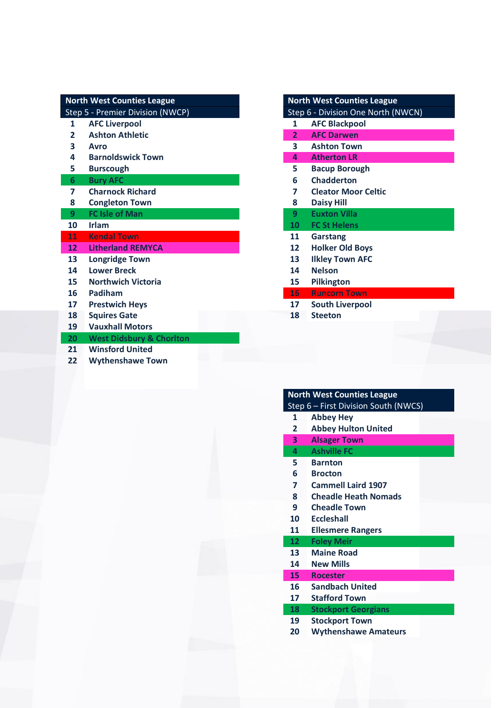| <b>North West Counties League</b> |                 | <b>North West Counties League</b>   |                |                                    |  |
|-----------------------------------|-----------------|-------------------------------------|----------------|------------------------------------|--|
|                                   |                 | Step 5 - Premier Division (NWCP)    |                | Step 6 - Division One North (NWCN) |  |
|                                   | 1               | <b>AFC Liverpool</b>                | 1              | <b>AFC Blackpool</b>               |  |
|                                   | $\overline{2}$  | <b>Ashton Athletic</b>              | $\overline{2}$ | <b>AFC Darwen</b>                  |  |
|                                   | 3               | <b>Avro</b>                         | 3              | <b>Ashton Town</b>                 |  |
|                                   | 4               | <b>Barnoldswick Town</b>            | 4              | <b>Atherton LR</b>                 |  |
|                                   | 5               | <b>Burscough</b>                    | 5.             | <b>Bacup Borough</b>               |  |
|                                   | $6\phantom{1}6$ | <b>Bury AFC</b>                     | 6              | <b>Chadderton</b>                  |  |
|                                   | $\overline{ }$  | <b>Charnock Richard</b>             | 7              | <b>Cleator Moor Celtic</b>         |  |
|                                   | 8               | <b>Congleton Town</b>               | 8              | <b>Daisy Hill</b>                  |  |
|                                   | 9               | <b>FC Isle of Man</b>               | 9              | <b>Euxton Villa</b>                |  |
|                                   | 10              | <b>Irlam</b>                        | 10             | <b>FC St Helens</b>                |  |
|                                   | 11              | <b>Kendal Town</b>                  | 11             | Garstang                           |  |
|                                   | 12 <sup>2</sup> | <b>Litherland REMYCA</b>            | 12             | <b>Holker Old Boys</b>             |  |
|                                   | 13 <sup>2</sup> | <b>Longridge Town</b>               | 13             | <b>Ilkley Town AFC</b>             |  |
|                                   | 14              | <b>Lower Breck</b>                  | 14             | <b>Nelson</b>                      |  |
|                                   | 15              | <b>Northwich Victoria</b>           | 15             | <b>Pilkington</b>                  |  |
|                                   | 16              | Padiham                             | 16             | <b>Runcorn Town</b>                |  |
|                                   | 17              | <b>Prestwich Heys</b>               | 17             | <b>South Liverpool</b>             |  |
|                                   | 18              | <b>Squires Gate</b>                 | 18             | <b>Steeton</b>                     |  |
|                                   | 19              | <b>Vauxhall Motors</b>              |                |                                    |  |
|                                   | 20              | <b>West Didsbury &amp; Chorlton</b> |                |                                    |  |
|                                   | 21              | <b>Winsford United</b>              |                |                                    |  |
|                                   |                 |                                     |                |                                    |  |

| 22 |  |  |  |  | <b>Wythenshawe Town</b> |
|----|--|--|--|--|-------------------------|
|----|--|--|--|--|-------------------------|

|                | <b>North West Counties League</b>  |
|----------------|------------------------------------|
|                | Step 6 - Division One North (NWCN) |
| 1              | <b>AFC Blackpool</b>               |
| $\overline{2}$ | <b>AFC Darwen</b>                  |
| 3              | <b>Ashton Town</b>                 |
| 4              | <b>Atherton LR</b>                 |
| 5.             | <b>Bacup Borough</b>               |
| 6              | <b>Chadderton</b>                  |
| 7              | <b>Cleator Moor Celtic</b>         |
| 8              | <b>Daisy Hill</b>                  |
| 9              | <b>Fuxton Villa</b>                |
| 10             | <b>FC St Helens</b>                |
| 11             | Garstang                           |
| 12             | <b>Holker Old Boys</b>             |
| 13             | <b>Ilkley Town AFC</b>             |
| 14             | <b>Nelson</b>                      |
| 15             | <b>Pilkington</b>                  |
| $16 -$         | <b>Runcorn Town</b>                |
| 17             | <b>South Liverpool</b>             |
| 18             | <b>Steeton</b>                     |
|                |                                    |

# **North West Counties League**

- **Abbey Hey**
- **Abbey Hulton United**
- **Alsager Town**
- **Ashville FC**
- **Barnton Brocton**
- **Cammell Laird 1907**
- 
- **Cheadle Heath Nomads**
- **Cheadle Town**
- **Eccleshall**
- **Ellesmere Rangers**

### **Foley Meir**

- **Maine Road**
- **New Mills**
- 
- **Rocester Sandbach United**
- **Stafford Town**

### **Stockport Georgians**

- **Stockport Town**
- **Wythenshawe Amateurs**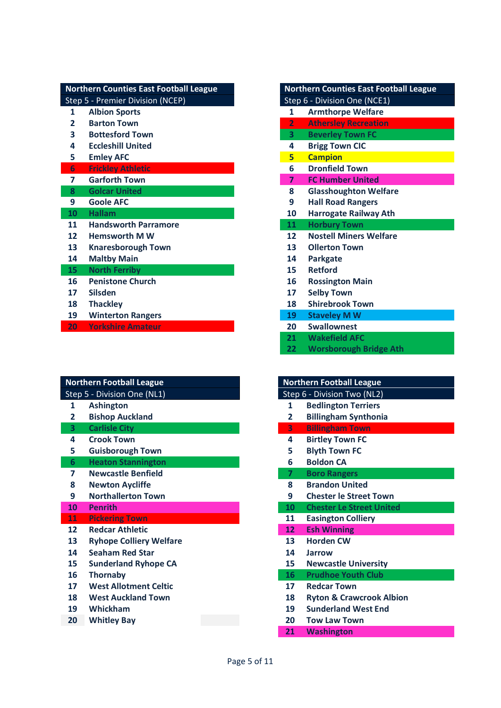|                | <b>Northern Counties East Football League</b> | <b>Northern Counties East Football League</b> |                              |                               |
|----------------|-----------------------------------------------|-----------------------------------------------|------------------------------|-------------------------------|
|                | Step 5 - Premier Division (NCEP)              |                                               | Step 6 - Division One (NCE1) |                               |
| 1              | <b>Albion Sports</b>                          |                                               | $\mathbf{1}$                 | <b>Armthorpe Welfare</b>      |
| 2              | <b>Barton Town</b>                            |                                               | $\overline{2}$               | <b>Athersley Recreation</b>   |
| 3              | <b>Bottesford Town</b>                        |                                               | 3                            | <b>Beverley Town FC</b>       |
| 4              | <b>Eccleshill United</b>                      |                                               | 4                            | <b>Brigg Town CIC</b>         |
| 5              | <b>Emley AFC</b>                              |                                               | 5                            | <b>Campion</b>                |
| 6              | <b>Frickley Athletic</b>                      |                                               | 6                            | <b>Dronfield Town</b>         |
| $\overline{ }$ | <b>Garforth Town</b>                          |                                               | $\overline{7}$               | <b>FC Humber United</b>       |
| 8              | <b>Golcar United</b>                          |                                               | 8                            | <b>Glasshoughton Welfare</b>  |
| 9              | <b>Goole AFC</b>                              |                                               | 9                            | <b>Hall Road Rangers</b>      |
| 10             | <b>Hallam</b>                                 |                                               | 10                           | <b>Harrogate Railway Ath</b>  |
| 11             | <b>Handsworth Parramore</b>                   |                                               | 11                           | <b>Horbury Town</b>           |
| 12             | <b>Hemsworth MW</b>                           |                                               | $12 \overline{ }$            | <b>Nostell Miners Welfare</b> |
| 13             | <b>Knaresborough Town</b>                     |                                               | 13                           | <b>Ollerton Town</b>          |
| 14             | <b>Maltby Main</b>                            |                                               | 14                           | Parkgate                      |
| 15             | <b>North Ferriby</b>                          |                                               | 15                           | <b>Retford</b>                |
| 16             | <b>Penistone Church</b>                       |                                               | 16                           | <b>Rossington Main</b>        |
| 17             | <b>Silsden</b>                                |                                               | 17                           | <b>Selby Town</b>             |
| 18             | <b>Thackley</b>                               |                                               | 18                           | <b>Shirebrook Town</b>        |
| 19             | <b>Winterton Rangers</b>                      |                                               | 19                           | <b>Staveley M W</b>           |
| 20             | <b>Yorkshire Amateur</b>                      |                                               | 20                           | <b>Swallownest</b>            |

|                   | <b>Northern Football League</b> | <b>Northern Football League</b> |                                     |  |
|-------------------|---------------------------------|---------------------------------|-------------------------------------|--|
|                   | Step 5 - Division One (NL1)     |                                 | Step 6 - Division Two (NL2)         |  |
| 1                 | <b>Ashington</b>                | 1                               | <b>Bedlington Terriers</b>          |  |
| 2                 | <b>Bishop Auckland</b>          | 2                               | <b>Billingham Synthonia</b>         |  |
| 3                 | <b>Carlisle City</b>            | $\overline{\mathbf{3}}$         | <b>Billingham Town</b>              |  |
| 4                 | <b>Crook Town</b>               | 4                               | <b>Birtley Town FC</b>              |  |
| 5                 | <b>Guisborough Town</b>         | 5                               | <b>Blyth Town FC</b>                |  |
| 6                 | <b>Heaton Stannington</b>       | 6                               | <b>Boldon CA</b>                    |  |
| 7                 | <b>Newcastle Benfield</b>       | $\overline{ }$                  | <b>Boro Rangers</b>                 |  |
| 8                 | <b>Newton Aycliffe</b>          | 8                               | <b>Brandon United</b>               |  |
| 9                 | <b>Northallerton Town</b>       | 9                               | <b>Chester le Street Town</b>       |  |
| 10                | <b>Penrith</b>                  | 10                              | <b>Chester Le Street United</b>     |  |
| 11                | <b>Pickering Town</b>           | 11                              | <b>Easington Colliery</b>           |  |
| $12 \overline{ }$ | <b>Redcar Athletic</b>          | 12                              | <b>Esh Winning</b>                  |  |
| 13                | <b>Ryhope Colliery Welfare</b>  | 13                              | <b>Horden CW</b>                    |  |
| 14                | <b>Seaham Red Star</b>          | 14                              | <b>Jarrow</b>                       |  |
| 15                | <b>Sunderland Ryhope CA</b>     | 15                              | <b>Newcastle University</b>         |  |
| 16                | <b>Thornaby</b>                 | 16                              | <b>Prudhoe Youth Club</b>           |  |
| 17                | <b>West Allotment Celtic</b>    | 17                              | <b>Redcar Town</b>                  |  |
| 18                | <b>West Auckland Town</b>       | 18                              | <b>Ryton &amp; Crawcrook Albion</b> |  |
| 19                | Whickham                        | 19                              | <b>Sunderland West End</b>          |  |
| 20                | <b>Whitley Bay</b>              | 20                              | <b>Tow Law Town</b>                 |  |

|                | <b>Northern Counties East Football League</b> |
|----------------|-----------------------------------------------|
|                | Step 6 - Division One (NCE1)                  |
| 1              | <b>Armthorpe Welfare</b>                      |
| $\overline{2}$ | <b>Athersley Recreation</b>                   |
| 3              | <b>Beverley Town FC</b>                       |
| 4              | <b>Brigg Town CIC</b>                         |
| 5              | <b>Campion</b>                                |
| 6              | <b>Dronfield Town</b>                         |
| 7              | <b>FC Humber United</b>                       |
| 8              | <b>Glasshoughton Welfare</b>                  |
| 9              | <b>Hall Road Rangers</b>                      |
| 10             | <b>Harrogate Railway Ath</b>                  |
|                |                                               |
| 11             | <b>Horbury Town</b>                           |
| 12             | <b>Nostell Miners Welfare</b>                 |
| 13             | <b>Ollerton Town</b>                          |
| 14             | <b>Parkgate</b>                               |
| 15             | <b>Retford</b>                                |
| 16             | <b>Rossington Main</b>                        |
| 17             | <b>Selby Town</b>                             |
| 18             | <b>Shirebrook Town</b>                        |
| 19             | <b>Staveley M W</b>                           |
| 20             | <b>Swallownest</b>                            |
| 21             | <b>Wakefield AFC</b>                          |

|                | <b>Northern Football League</b>     |  |  |
|----------------|-------------------------------------|--|--|
|                | Step 6 - Division Two (NL2)         |  |  |
| 1              | <b>Bedlington Terriers</b>          |  |  |
| 2              | <b>Billingham Synthonia</b>         |  |  |
| 3              | <b>Billingham Town</b>              |  |  |
| 4              | <b>Birtley Town FC</b>              |  |  |
| 5              | <b>Blyth Town FC</b>                |  |  |
| 6              | <b>Boldon CA</b>                    |  |  |
| $\overline{7}$ | <b>Boro Rangers</b>                 |  |  |
| 8              | <b>Brandon United</b>               |  |  |
| 9              | <b>Chester le Street Town</b>       |  |  |
| 10             | <b>Chester Le Street United</b>     |  |  |
| 11             | <b>Easington Colliery</b>           |  |  |
| 12             | <b>Esh Winning</b>                  |  |  |
| 13             | <b>Horden CW</b>                    |  |  |
| 14             | Jarrow                              |  |  |
| 15             | <b>Newcastle University</b>         |  |  |
| 16             | <b>Prudhoe Youth Club</b>           |  |  |
| 17             | <b>Redcar Town</b>                  |  |  |
| 18             | <b>Ryton &amp; Crawcrook Albion</b> |  |  |
| 19             | <b>Sunderland West End</b>          |  |  |
| 20             | <b>Tow Law Town</b>                 |  |  |
| 21             | <b>Washington</b>                   |  |  |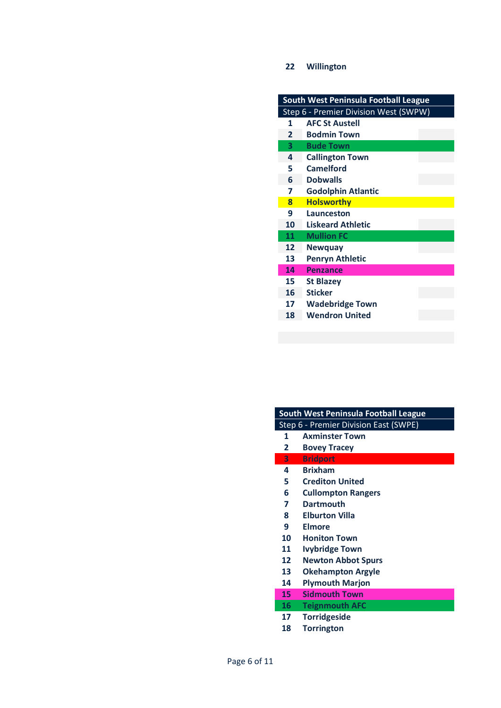### **Willington**

| South West Peninsula Football League |                                       |  |
|--------------------------------------|---------------------------------------|--|
|                                      | Step 6 - Premier Division West (SWPW) |  |
| 1                                    | <b>AFC St Austell</b>                 |  |
| $\overline{2}$                       | <b>Bodmin Town</b>                    |  |
| 3                                    | <b>Bude Town</b>                      |  |
| 4                                    | <b>Callington Town</b>                |  |
| 5                                    | <b>Camelford</b>                      |  |
| 6                                    | <b>Dobwalls</b>                       |  |
| 7                                    | <b>Godolphin Atlantic</b>             |  |
| $\mathbf{R}$                         | <b>Holsworthy</b>                     |  |
| 9                                    | Launceston                            |  |
| 10                                   | <b>Liskeard Athletic</b>              |  |
| 11                                   | <b>Mullion FC</b>                     |  |
| 12                                   | <b>Newquay</b>                        |  |
| 13                                   | <b>Penryn Athletic</b>                |  |
| 14                                   | <b>Penzance</b>                       |  |
| 15                                   | <b>St Blazey</b>                      |  |
| 16                                   | <b>Sticker</b>                        |  |
| 17                                   | <b>Wadebridge Town</b>                |  |
| 18                                   | <b>Wendron United</b>                 |  |
|                                      |                                       |  |

|                | Step 6 - Premier Division East (SWPE) |
|----------------|---------------------------------------|
| 1              | <b>Axminster Town</b>                 |
| $\overline{2}$ | <b>Bovey Tracey</b>                   |
| 3              | <b>Bridport</b>                       |
| 4              | <b>Brixham</b>                        |
| 5              | <b>Crediton United</b>                |
| 6              | <b>Cullompton Rangers</b>             |
| 7              | Dartmouth                             |
| 8              | <b>Elburton Villa</b>                 |
| 9              | Elmore                                |
| 10             | <b>Honiton Town</b>                   |
| 11             | <b>Ivybridge Town</b>                 |

**South West Peninsula Football League**

- **Newton Abbot Spurs**
- **Okehampton Argyle**
- **Plymouth Marjon**
- **Sidmouth Town**
- **Teignmouth AFC**
- **Torridgeside**
- **Torrington**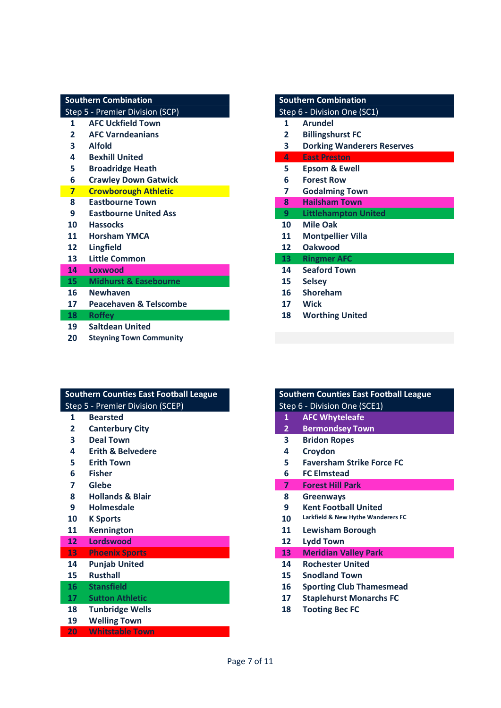|                 | <b>Southern Combination</b>       | <b>Southern Combination</b> |                   |                                   |
|-----------------|-----------------------------------|-----------------------------|-------------------|-----------------------------------|
|                 | Step 5 - Premier Division (SCP)   |                             |                   | Step 6 - Division One (SC1)       |
| 1               | <b>AFC Uckfield Town</b>          |                             | $\mathbf{1}$      | <b>Arundel</b>                    |
| $\mathbf{2}$    | <b>AFC Varndeanians</b>           |                             | 2                 | <b>Billingshurst FC</b>           |
| 3               | <b>Alfold</b>                     |                             | 3                 | <b>Dorking Wanderers Reserves</b> |
| 4               | <b>Bexhill United</b>             |                             | 4                 | <b>East Preston</b>               |
| 5               | <b>Broadridge Heath</b>           |                             | 5                 | <b>Epsom &amp; Ewell</b>          |
| 6               | <b>Crawley Down Gatwick</b>       |                             | 6                 | <b>Forest Row</b>                 |
| $\overline{7}$  | <b>Crowborough Athletic</b>       |                             | 7                 | <b>Godalming Town</b>             |
| 8               | <b>Eastbourne Town</b>            |                             | 8                 | <b>Hailsham Town</b>              |
| 9               | <b>Eastbourne United Ass</b>      |                             | 9                 | <b>Littlehampton United</b>       |
| 10              | <b>Hassocks</b>                   |                             | 10                | <b>Mile Oak</b>                   |
| 11              | <b>Horsham YMCA</b>               |                             | 11                | <b>Montpellier Villa</b>          |
| 12              | <b>Lingfield</b>                  |                             | $12 \overline{ }$ | <b>Oakwood</b>                    |
| 13              | <b>Little Common</b>              |                             | 13 <sup>°</sup>   | <b>Ringmer AFC</b>                |
| 14              | Loxwood                           |                             | 14                | <b>Seaford Town</b>               |
| 15 <sub>1</sub> | <b>Midhurst &amp; Easebourne</b>  |                             | 15                | <b>Selsey</b>                     |
| 16              | <b>Newhaven</b>                   |                             | 16                | <b>Shoreham</b>                   |
| 17              | <b>Peacehaven &amp; Telscombe</b> |                             | 17                | <b>Wick</b>                       |
| 18              | <b>Roffey</b>                     |                             | 18                | <b>Worthing United</b>            |
| 19              | <b>Saltdean United</b>            |                             |                   |                                   |
| 20              | <b>Steyning Town Community</b>    |                             |                   |                                   |

| <b>Southern Combination</b> |                                   |  |
|-----------------------------|-----------------------------------|--|
|                             | Step 6 - Division One (SC1)       |  |
| 1                           | <b>Arundel</b>                    |  |
| 2                           | <b>Billingshurst FC</b>           |  |
| 3                           | <b>Dorking Wanderers Reserves</b> |  |
| Д.                          | <b>East Preston</b>               |  |
| 5.                          | <b>Epsom &amp; Ewell</b>          |  |
| 6                           | <b>Forest Row</b>                 |  |
| 7                           | <b>Godalming Town</b>             |  |
| $\mathbf{R}$                | <b>Hailsham Town</b>              |  |
| 9                           | <b>Littlehampton United</b>       |  |
| $10 -$                      | Mile Oak                          |  |
| 11                          | <b>Montpellier Villa</b>          |  |
| 12                          | Oakwood                           |  |
| $13 -$                      | <b>Ringmer AFC</b>                |  |
| 14                          | <b>Seaford Town</b>               |  |
| 15                          | <b>Selsey</b>                     |  |
| 16                          | Shoreham                          |  |
| 17                          | <b>Wick</b>                       |  |
| 18                          | <b>Worthing United</b>            |  |
|                             |                                   |  |

|    | <b>Southern Counties East Football League</b> |                         | <b>Southern Counties East Football League</b> |
|----|-----------------------------------------------|-------------------------|-----------------------------------------------|
|    | Step 5 - Premier Division (SCEP)              |                         | Step 6 - Division One (SCE1)                  |
| 1  | <b>Bearsted</b>                               | 1                       | <b>AFC Whyteleafe</b>                         |
| 2  | <b>Canterbury City</b>                        | $\overline{2}$          | <b>Bermondsey Town</b>                        |
| 3  | <b>Deal Town</b>                              | 3                       | <b>Bridon Ropes</b>                           |
| 4  | <b>Erith &amp; Belvedere</b>                  | 4                       | Croydon                                       |
| 5  | <b>Erith Town</b>                             | 5.                      | <b>Faversham Strike Force FC</b>              |
| 6  | <b>Fisher</b>                                 | 6                       | <b>FC Elmstead</b>                            |
| 7  | Glebe                                         | $\overline{\mathbf{z}}$ | <b>Forest Hill Park</b>                       |
| 8  | <b>Hollands &amp; Blair</b>                   | 8                       | <b>Greenways</b>                              |
| 9  | <b>Holmesdale</b>                             | 9                       | <b>Kent Football United</b>                   |
| 10 | <b>K</b> Sports                               | 10                      | Larkfield & New Hythe Wanderers FC            |
| 11 | <b>Kennington</b>                             | 11                      | <b>Lewisham Borough</b>                       |
| 12 | <b>Lordswood</b>                              | 12                      | <b>Lydd Town</b>                              |
| 13 | <b>Phoenix Sports</b>                         | 13                      | <b>Meridian Valley Park</b>                   |
| 14 | <b>Punjab United</b>                          | 14                      | <b>Rochester United</b>                       |
| 15 | <b>Rusthall</b>                               | 15                      | <b>Snodland Town</b>                          |
| 16 | <b>Stansfield</b>                             | 16                      | <b>Sporting Club Thamesmead</b>               |
| 17 | <b>Sutton Athletic</b>                        | 17                      | <b>Staplehurst Monarchs FC</b>                |
| 18 | <b>Tunbridge Wells</b>                        | 18                      | <b>Tooting Bec FC</b>                         |
| 19 | <b>Welling Town</b>                           |                         |                                               |
| 20 | <b>Whitstable Town</b>                        |                         |                                               |

|                | Southern Counties East Football League |
|----------------|----------------------------------------|
|                | Step 6 - Division One (SCE1)           |
| 1              | <b>AFC Whyteleafe</b>                  |
| $\overline{2}$ | <b>Bermondsey Town</b>                 |
| 3              | <b>Bridon Ropes</b>                    |
| 4              | Croydon                                |
| 5              | <b>Faversham Strike Force FC</b>       |
| 6              | <b>FC Elmstead</b>                     |
| $\overline{7}$ | <b>Forest Hill Park</b>                |
| 8              | <b>Greenways</b>                       |
| 9              | <b>Kent Football United</b>            |
| 10             | Larkfield & New Hythe Wanderers FC     |
| 11             | <b>Lewisham Borough</b>                |
| 12             | Lydd Town                              |
| 13             | <b>Meridian Valley Park</b>            |
| 14             | <b>Rochester United</b>                |
| 15             | <b>Snodland Town</b>                   |
| 16             | <b>Sporting Club Thamesmead</b>        |
|                |                                        |
| 17             | <b>Staplehurst Monarchs FC</b>         |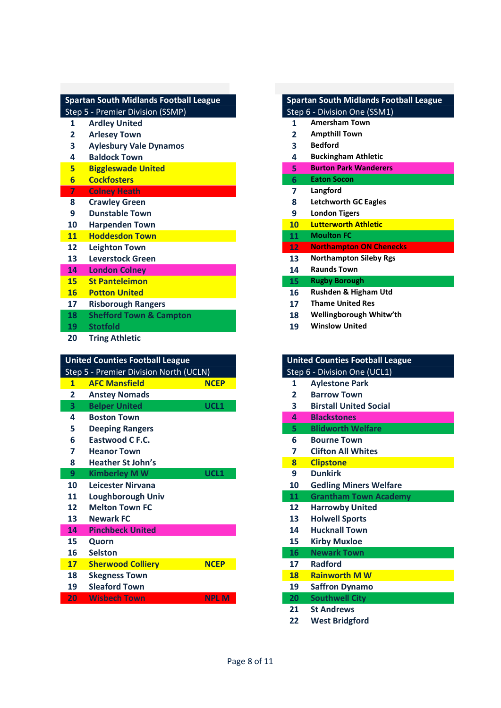|                | <b>Spartan South Midlands Football League</b> |                | <b>Spartan South Midlands Footbal</b>  |
|----------------|-----------------------------------------------|----------------|----------------------------------------|
|                | Step 5 - Premier Division (SSMP)              |                | Step 6 - Division One (SSM1)           |
| 1              | <b>Ardley United</b>                          | 1              | <b>Amersham Town</b>                   |
| $\mathbf{2}$   | <b>Arlesey Town</b>                           | $\overline{2}$ | <b>Ampthill Town</b>                   |
| 3              | <b>Aylesbury Vale Dynamos</b>                 | 3              | <b>Bedford</b>                         |
| 4              | <b>Baldock Town</b>                           | 4              | <b>Buckingham Athletic</b>             |
| 5              | <b>Biggleswade United</b>                     | 5              | <b>Burton Park Wanderers</b>           |
| $6\overline{}$ | <b>Cockfosters</b>                            | 6              | <b>Eaton Socon</b>                     |
| 7              | <b>Colney Heath</b>                           | 7              | Langford                               |
| 8              | <b>Crawley Green</b>                          | 8              | <b>Letchworth GC Eagles</b>            |
| 9              | <b>Dunstable Town</b>                         | 9              | <b>London Tigers</b>                   |
| 10             | <b>Harpenden Town</b>                         | 10             | <b>Lutterworth Athletic</b>            |
| 11             | <b>Hoddesdon Town</b>                         | 11             | <b>Moulton FC</b>                      |
| 12             | <b>Leighton Town</b>                          | 12             | <b>Northampton ON Chenecks</b>         |
| 13             | <b>Leverstock Green</b>                       | 13             | <b>Northampton Sileby Rgs</b>          |
| 14             | <b>London Colney</b>                          | 14             | <b>Raunds Town</b>                     |
| 15             | <b>St Panteleimon</b>                         | 15             | <b>Rugby Borough</b>                   |
| <b>16</b>      | <b>Potton United</b>                          | 16             | Rushden & Higham Utd                   |
| 17             | <b>Risborough Rangers</b>                     | 17             | <b>Thame United Res</b>                |
| 18             | <b>Shefford Town &amp; Campton</b>            | 18             | Wellingborough Whitw'th                |
| 19             | <b>Stotfold</b>                               | 19             | <b>Winslow United</b>                  |
| 20             | <b>Tring Athletic</b>                         |                |                                        |
|                |                                               |                |                                        |
|                | <b>United Counties Football League</b>        |                | <b>United Counties Football League</b> |
|                | Step 5 - Premier Division North (UCLN)        |                | Step 6 - Division One (UCL1)           |
| $\overline{1}$ | <b>AFC Mansfield</b><br><b>NCEP</b>           | 1              | <b>Aylestone Park</b>                  |
| 2              | <b>Anstey Nomads</b>                          | $\overline{2}$ | <b>Barrow Town</b>                     |
| 3              | <b>Belper United</b><br>UCL1                  | 3              | <b>Birstall United Social</b>          |
| 4              | <b>Boston Town</b>                            | 4              | <b>Blackstones</b>                     |
| 5              | <b>Deeping Rangers</b>                        | 5              | <b>Blidworth Welfare</b>               |
| 6              | <b>Eastwood C F.C.</b>                        | 6              | <b>Bourne Town</b>                     |
| 7              | <b>Heanor Town</b>                            | 7              | <b>Clifton All Whites</b>              |
| 8              | <b>Heather St John's</b>                      | 8              | <b>Clipstone</b>                       |
| 9              | <b>Kimberley MW</b><br>UCL1                   | 9              | <b>Dunkirk</b>                         |
| 10             | Leicester Nirvana                             | 10             | <b>Gedling Miners Welfare</b>          |
| 11             | <b>Loughborough Univ</b>                      | 11             | <b>Grantham Town Academy</b>           |
| 12             | <b>Melton Town FC</b>                         | 12             | <b>Harrowby United</b>                 |
| 13             | <b>Newark FC</b>                              | 13             | <b>Holwell Sports</b>                  |
| 14             | <b>Pinchbeck United</b>                       | 14             | <b>Hucknall Town</b>                   |
| 15             |                                               | 15             |                                        |
|                | Quorn                                         |                | <b>Kirby Muxloe</b>                    |
| 16             | <b>Selston</b>                                | 16             | <b>Newark Town</b>                     |
| 17<br>18       | <b>Sherwood Colliery</b><br><b>NCEP</b>       | 17<br>18       | <b>Radford</b><br><b>Rainworth MW</b>  |

**Sleaford Town** 

**Wisbech Town NPL M** 

# **Amersham Town Arlesey Town 2 Ampthill Town Baldock Town 4 Buckingham Athletic Burton Park Wanderers Cockfosters 6 Eaton Socon Crawley Green 8 Letchworth GC Eagles Dunstable Town 9 London Tigers Lutterworth Athletic Hoddesdon Town 11 Moulton FC** Northampton ON Chenecks Northampton Sileby Rgs **London Colney 14 Raunds Town 15 Rugby Borough Rushden & Higham Utd**

**Spartan South Midlands Football League Spartan South Midlands Football League**

- **Risborough Rangers 17 Thame United Res**
- **Shefford Town & Campton 18 Wellingborough Whitw'th**
- **Stotfold 19 Winslow United**

|                   | <b>United Counties Football League</b> |
|-------------------|----------------------------------------|
|                   | Step 6 - Division One (UCL1)           |
| 1                 | <b>Aylestone Park</b>                  |
| $\overline{2}$    | <b>Barrow Town</b>                     |
| 3                 | <b>Birstall United Social</b>          |
| $\Delta$          | <b>Blackstones</b>                     |
| 5                 | <b>Blidworth Welfare</b>               |
| 6                 | <b>Bourne Town</b>                     |
| 7                 | <b>Clifton All Whites</b>              |
| 8                 | <b>Clipstone</b>                       |
| 9                 | <b>Dunkirk</b>                         |
| 10                | <b>Gedling Miners Welfare</b>          |
| 11                | <b>Grantham Town Academy</b>           |
| $12 \overline{ }$ | <b>Harrowby United</b>                 |
| 13                | <b>Holwell Sports</b>                  |
| 14                | <b>Hucknall Town</b>                   |
| 15                | <b>Kirby Muxloe</b>                    |
| 16                | <b>Newark Town</b>                     |
| 17                | <b>Radford</b>                         |
|                   |                                        |
| 18                | <b>Rainworth M W</b>                   |
| 19                | <b>Saffron Dynamo</b>                  |
| 20                | <b>Southwell City</b>                  |
| 21                | <b>St Andrews</b>                      |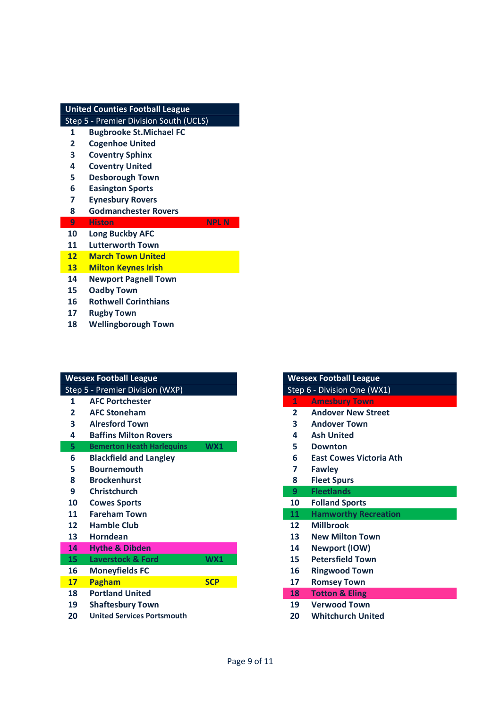| <b>United Counties Football League</b> |                                        |  |
|----------------------------------------|----------------------------------------|--|
|                                        | Step 5 - Premier Division South (UCLS) |  |
| 1                                      | <b>Bugbrooke St.Michael FC</b>         |  |
| $\overline{2}$                         | <b>Cogenhoe United</b>                 |  |
| 3                                      | <b>Coventry Sphinx</b>                 |  |
| 4                                      | <b>Coventry United</b>                 |  |
| 5                                      | <b>Desborough Town</b>                 |  |
| 6                                      | <b>Easington Sports</b>                |  |
| 7                                      | <b>Eynesbury Rovers</b>                |  |
| 8                                      | <b>Godmanchester Rovers</b>            |  |
|                                        |                                        |  |
| 9                                      | <b>Histon</b><br>NPL N                 |  |
| 10                                     | <b>Long Buckby AFC</b>                 |  |
| 11                                     | <b>Lutterworth Town</b>                |  |
| 12                                     | <b>March Town United</b>               |  |
| 13                                     | <b>Milton Keynes Irish</b>             |  |
| 14                                     | <b>Newport Pagnell Town</b>            |  |
| 15                                     | Oadby Town                             |  |
| 16                                     | <b>Rothwell Corinthians</b>            |  |
| 17                                     | <b>Rugby Town</b>                      |  |

| <b>Wessex Football League</b> |                                   |            | <b>Wessex Football League</b> |                                |
|-------------------------------|-----------------------------------|------------|-------------------------------|--------------------------------|
|                               | Step 5 - Premier Division (WXP)   |            |                               | Step 6 - Division One (WX1)    |
| 1                             | <b>AFC Portchester</b>            |            | $\mathbf{1}$                  | <b>Amesbury Town</b>           |
| 2                             | <b>AFC Stoneham</b>               |            | $\mathbf{2}$                  | <b>Andover New Street</b>      |
| 3                             | <b>Alresford Town</b>             |            | $\overline{\mathbf{3}}$       | <b>Andover Town</b>            |
| 4                             | <b>Baffins Milton Rovers</b>      |            | 4                             | <b>Ash United</b>              |
| 5                             | <b>Bemerton Heath Harlequins</b>  | WX1        | 5                             | <b>Downton</b>                 |
| 6                             | <b>Blackfield and Langley</b>     |            | 6                             | <b>East Cowes Victoria Ath</b> |
| 5                             | <b>Bournemouth</b>                |            | 7                             | <b>Fawley</b>                  |
| 8                             | <b>Brockenhurst</b>               |            | 8                             | <b>Fleet Spurs</b>             |
| 9                             | <b>Christchurch</b>               |            | 9                             | <b>Fleetlands</b>              |
| 10                            | <b>Cowes Sports</b>               |            | 10                            | <b>Folland Sports</b>          |
| 11                            | <b>Fareham Town</b>               |            | 11                            | <b>Hamworthy Recreation</b>    |
| 12                            | <b>Hamble Club</b>                |            | $12 \overline{ }$             | <b>Millbrook</b>               |
| 13                            | <b>Horndean</b>                   |            | 13                            | <b>New Milton Town</b>         |
| 14                            | <b>Hythe &amp; Dibden</b>         |            | 14                            | Newport (IOW)                  |
| 15                            | <b>Laverstock &amp; Ford</b>      | WX1        | 15                            | <b>Petersfield Town</b>        |
| 16                            | <b>Moneyfields FC</b>             |            | 16                            | <b>Ringwood Town</b>           |
| <b>17</b>                     | Pagham                            | <b>SCP</b> | 17                            | <b>Romsey Town</b>             |
| 18                            | <b>Portland United</b>            |            | 18                            | <b>Totton &amp; Eling</b>      |
| 19                            | <b>Shaftesbury Town</b>           |            | 19                            | <b>Verwood Town</b>            |
| 20                            | <b>United Services Portsmouth</b> |            | 20                            | <b>Whitchurch United</b>       |

|                 | <b>Wessex Football League</b>  |
|-----------------|--------------------------------|
|                 | Step 6 - Division One (WX1)    |
| 1               | <b>Amesbury Town</b>           |
| $\mathbf{2}$    | <b>Andover New Street</b>      |
| 3               | <b>Andover Town</b>            |
| 4               | <b>Ash United</b>              |
| 5               | <b>Downton</b>                 |
| 6               | <b>East Cowes Victoria Ath</b> |
| 7               | <b>Fawley</b>                  |
| 8               | <b>Fleet Spurs</b>             |
| 9               | <b>Fleetlands</b>              |
| 10              | <b>Folland Sports</b>          |
| 11 <sup>1</sup> | <b>Hamworthy Recreation</b>    |
| $12 \ \mathrm{$ | <b>Millbrook</b>               |
| 13              | <b>New Milton Town</b>         |
| 14              | <b>Newport (IOW)</b>           |
| 15              | <b>Petersfield Town</b>        |
| 16              | <b>Ringwood Town</b>           |
| 17              | <b>Romsey Town</b>             |
| 18              | <b>Totton &amp; Eling</b>      |
| 19              | <b>Verwood Town</b>            |
| 20              | <b>Whitchurch United</b>       |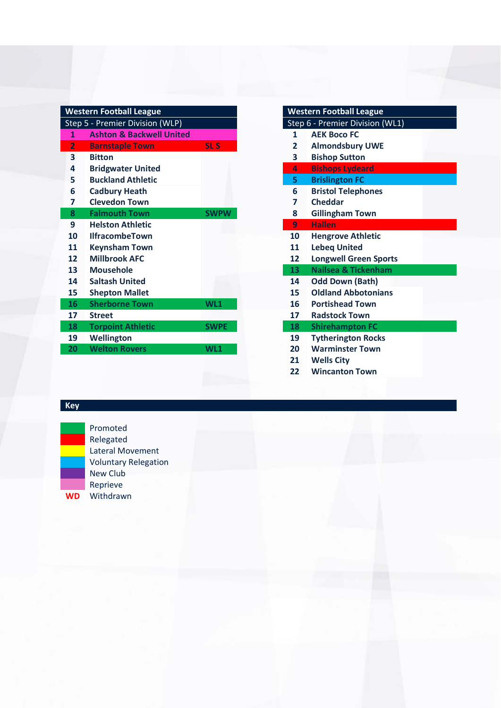| <b>Western Football League</b>  |                                     | <b>Western Football League</b> |                                 |                                |
|---------------------------------|-------------------------------------|--------------------------------|---------------------------------|--------------------------------|
| Step 5 - Premier Division (WLP) |                                     |                                | Step 6 - Premier Division (WL1) |                                |
| 1                               | <b>Ashton &amp; Backwell United</b> |                                | 1                               | <b>AEK Boco FC</b>             |
| $\overline{2}$                  | <b>Barnstaple Town</b>              | <b>SLS</b>                     | $\mathbf{2}$                    | <b>Almondsbury UWE</b>         |
| $\overline{\mathbf{3}}$         | <b>Bitton</b>                       |                                | 3                               | <b>Bishop Sutton</b>           |
| 4                               | <b>Bridgwater United</b>            |                                | $\Delta$                        | <b>Bishops Lydeard</b>         |
| 5                               | <b>Buckland Athletic</b>            |                                | 5.                              | <b>Brislington FC</b>          |
| 6                               | <b>Cadbury Heath</b>                |                                | 6                               | <b>Bristol Telephones</b>      |
| 7                               | <b>Clevedon Town</b>                |                                | 7                               | <b>Cheddar</b>                 |
| 8                               | <b>Falmouth Town</b>                | <b>SWPW</b>                    | 8                               | <b>Gillingham Town</b>         |
| 9                               | <b>Helston Athletic</b>             |                                | 9                               | <b>Hallen</b>                  |
| 10                              | <b>IlfracombeTown</b>               |                                | 10                              | <b>Hengrove Athletic</b>       |
| 11                              | <b>Keynsham Town</b>                |                                | 11                              | <b>Lebeq United</b>            |
| 12                              | <b>Millbrook AFC</b>                |                                | 12                              | <b>Longwell Green Sports</b>   |
| 13                              | <b>Mousehole</b>                    |                                | 13                              | <b>Nailsea &amp; Tickenham</b> |
| 14                              | <b>Saltash United</b>               |                                | 14                              | <b>Odd Down (Bath)</b>         |
| 15                              | <b>Shepton Mallet</b>               |                                | 15                              | <b>Oldland Abbotonians</b>     |
| 16                              | <b>Sherborne Town</b>               | WL1                            | 16                              | <b>Portishead Town</b>         |
| 17                              | <b>Street</b>                       |                                | 17                              | <b>Radstock Town</b>           |
| 18                              | <b>Torpoint Athletic</b>            | <b>SWPE</b>                    | 18                              | <b>Shirehampton FC</b>         |
| 19                              | Wellington                          |                                | 19                              | <b>Tytherington Rocks</b>      |
| 20                              | <b>Welton Rovers</b>                | WL <sub>1</sub>                | 20                              | <b>Warminster Town</b>         |
|                                 |                                     |                                |                                 |                                |

|                                 | <b>Western Football League</b> |  |
|---------------------------------|--------------------------------|--|
| Step 6 - Premier Division (WL1) |                                |  |
| $\mathbf{1}$                    | <b>AEK Boco FC</b>             |  |
| $\mathbf{z}$                    | <b>Almondsbury UWE</b>         |  |
| 3                               | <b>Bishop Sutton</b>           |  |
| 4                               | <b>Bishops Lydeard</b>         |  |
| 5.                              | <b>Brislington FC</b>          |  |
| 6                               | <b>Bristol Telephones</b>      |  |
| 7                               | <b>Cheddar</b>                 |  |
| 8                               | <b>Gillingham Town</b>         |  |
| 9                               | <b>Hallen</b>                  |  |
| 10                              | <b>Hengrove Athletic</b>       |  |
| 11                              | <b>Lebeq United</b>            |  |
| 12                              | <b>Longwell Green Sports</b>   |  |
| 13 <sup>°</sup>                 | <b>Nailsea &amp; Tickenham</b> |  |
| 14                              | <b>Odd Down (Bath)</b>         |  |
| 15                              | <b>Oldland Abbotonians</b>     |  |
| 16                              | <b>Portishead Town</b>         |  |
| 17                              | <b>Radstock Town</b>           |  |
| 18 <sup>7</sup>                 | <b>Shirehampton FC</b>         |  |
| 19                              | <b>Tytherington Rocks</b>      |  |
| 20                              | <b>Warminster Town</b>         |  |
| 21                              | <b>Wells City</b>              |  |
| 22                              | <b>Wincanton Town</b>          |  |

# **Key**



Promoted Relegated Lateral Movement Voluntary Relegation New Club Reprieve **WD** Withdrawn